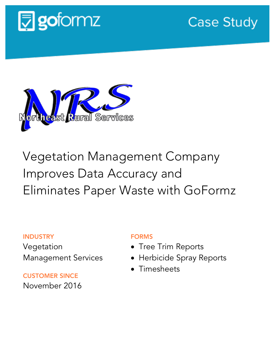

**Case Study** 



# Vegetation Management Company Improves Data Accuracy and Eliminates Paper Waste with GoFormz

### INDUSTRY

Vegetation Management Services

CUSTOMER SINCE November 2016

## FORMS

- Tree Trim Reports
- Herbicide Spray Reports
- Timesheets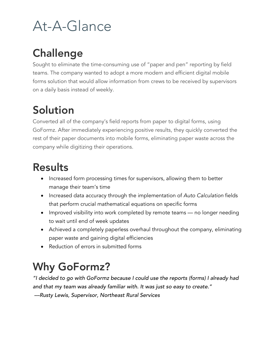# At-A-Glance

## Challenge

Sought to eliminate the time-consuming use of "paper and pen" reporting by field teams. The company wanted to adopt a more modern and efficient digital mobile forms solution that would allow information from crews to be received by supervisors on a daily basis instead of weekly.

## Solution

Converted all of the company's field reports from paper to digital forms, using GoFormz. After immediately experiencing positive results, they quickly converted the rest of their paper documents into mobile forms, eliminating paper waste across the company while digitizing their operations.

## Results

- Increased form processing times for supervisors, allowing them to better manage their team's time
- Increased data accuracy through the implementation of *Auto Calculation* fields that perform crucial mathematical equations on specific forms
- Improved visibility into work completed by remote teams no longer needing to wait until end of week updates
- Achieved a completely paperless overhaul throughout the company, eliminating paper waste and gaining digital efficiencies
- Reduction of errors in submitted forms

# Why GoFormz?

*"I decided to go with GoFormz because I could use the reports (forms) I already had and that my team was already familiar with. It was just so easy to create."* 

*––Rusty Lewis, Supervisor, Northeast Rural Services*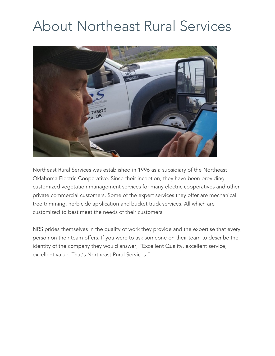# About Northeast Rural Services



Northeast Rural Services was established in 1996 as a subsidiary of the Northeast Oklahoma Electric Cooperative. Since their inception, they have been providing customized vegetation management services for many electric cooperatives and other private commercial customers. Some of the expert services they offer are mechanical tree trimming, herbicide application and bucket truck services. All which are customized to best meet the needs of their customers.

NRS prides themselves in the quality of work they provide and the expertise that every person on their team offers. If you were to ask someone on their team to describe the identity of the company they would answer, "Excellent Quality, excellent service, excellent value. That's Northeast Rural Services."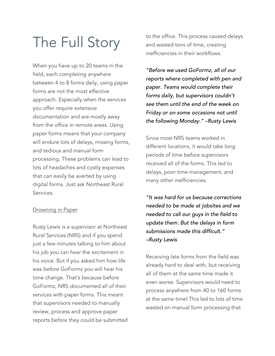# The Full Story

When you have up to 20 teams in the field, each completing anywhere between 4 to 8 forms daily, using paper forms are not the most effective approach. Especially when the services you offer require extensive documentation and are mostly away from the office in remote areas. Using paper forms means that your company will endure lots of delays, missing forms, and tedious and manual form processing. These problems can lead to lots of headaches and costly expenses that can easily be averted by using digital forms. Just ask Northeast Rural Services.

### **Drowning in Paper**

Rusty Lewis is a supervisor at Northeast Rural Services (NRS) and if you spend just a few minutes talking to him about his job you can hear the excitement in his voice. But if you asked him how life was *before* GoFormz you will hear his tone change. That's because before GoFormz, NRS documented all of their services with paper forms. This meant that supervisors needed to manually review, process and approve paper reports before they could be submitted to the office. This process caused delays and wasted tons of time, creating inefficiencies in their workflows.

*"Before we used GoFormz, all of our reports where completed with pen and paper. Teams would complete their forms daily, but supervisors couldn't see them until the end of the week on Friday or on some occasions not until the following Monday." –Rusty Lewis*

Since most NRS teams worked in different locations, it would take long periods of time before supervisors received all of the forms. This led to delays, poor time management, and many other inefficiencies.

*"It was hard for us because corrections needed to be made at jobsites and we needed to call our guys in the field to update them. But the delays in form submissions made this difficult." –Rusty Lewis*

Receiving late forms from the field was already hard to deal with, but receiving all of them at the same time made it even worse. Supervisors would need to process anywhere from 40 to 160 forms at the same time! This led to lots of time wasted on manual form processing that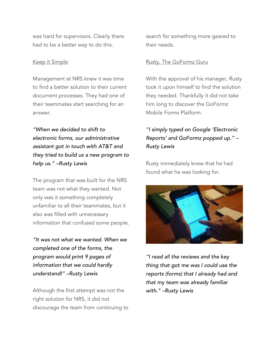was hard for supervisors. Clearly there had to be a better way to do this.

#### Keep it Simple

Management at NRS knew it was time to find a better solution to their current document processes. They had one of their teammates start searching for an answer.

*"When we decided to shift to electronic forms, our administrative assistant got in touch with AT&T and they tried to build us a new program to help us." –Rusty Lewis*

The program that was built for the NRS team was not what they wanted. Not only was it something completely unfamiliar to all their teammates, but it also was filled with unnecessary information that confused some people.

*"It was not what we wanted. When we completed one of the forms, the program would print 9 pages of information that we could hardly understand!" –Rusty Lewis*

Although the first attempt was not the right solution for NRS, it did not discourage the team from continuing to search for something more geared to their needs.

#### Rusty, The GoFormz Guru

With the approval of his manager, Rusty took it upon himself to find the solution they needed. Thankfully it did not take him long to discover the GoFormz Mobile Forms Platform.

### *"I simply typed on Google 'Electronic Reports' and GoFormz popped up." – Rusty Lewis*

Rusty immediately knew that he had found what he was looking for.



*"I read all the reviews and the key thing that got me was I could use the reports (forms) that I already had and that my team was already familiar with." –Rusty Lewis*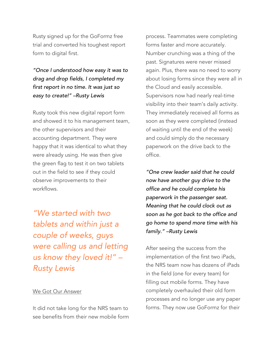Rusty signed up for the GoFormz free trial and converted his toughest report form to digital first.

*"Once I understood how easy it was to drag and drop fields, I completed my first report in no time. It was just so easy to create!" –Rusty Lewis*

Rusty took this new digital report form and showed it to his management team, the other supervisors and their accounting department. They were happy that it was identical to what they were already using. He was then give the green flag to test it on two tablets out in the field to see if they could observe improvements to their workflows.

*"We started with two tablets and within just a couple of weeks, guys were calling us and letting us know they loved it!" – Rusty Lewis*

#### We Got Our Answer

It did not take long for the NRS team to see benefits from their new mobile form process. Teammates were completing forms faster and more accurately. Number crunching was a thing of the past. Signatures were never missed again. Plus, there was no need to worry about losing forms since they were all in the Cloud and easily accessible. Supervisors now had nearly real-time visibility into their team's daily activity. They immediately received all forms as soon as they were completed (instead of waiting until the end of the week) and could simply do the necessary paperwork on the drive back to the office.

*"One crew leader said that he could now have another guy drive to the office and he could complete his paperwork in the passenger seat. Meaning that he could clock out as soon as he got back to the office and go home to spend more time with his family." –Rusty Lewis*

After seeing the success from the implementation of the first two iPads, the NRS team now has dozens of iPads in the field (one for every team) for filling out mobile forms. They have completely overhauled their old form processes and no longer use any paper forms. They now use GoFormz for their